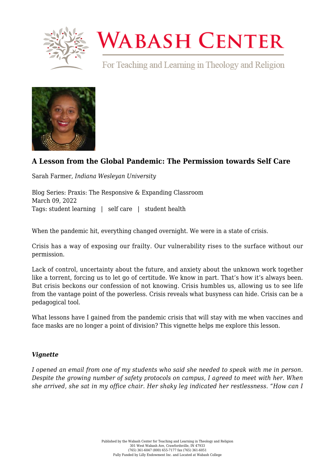

# **WABASH CENTER**

For Teaching and Learning in Theology and Religion



# **[A Lesson from the Global Pandemic: The Permission towards Self Care](https://www.wabashcenter.wabash.edu/2022/03/a-lesson-from-the-global-pandemic-the-permission-towards-self-care/)**

Sarah Farmer, *Indiana Wesleyan University*

Blog Series: Praxis: The Responsive & Expanding Classroom March 09, 2022 Tags: student learning | self care | student health

When the pandemic hit, everything changed overnight. We were in a state of crisis.

Crisis has a way of exposing our frailty. Our vulnerability rises to the surface without our permission.

Lack of control, uncertainty about the future, and anxiety about the unknown work together like a torrent, forcing us to let go of certitude. We know in part. That's how it's always been. But crisis beckons our confession of not knowing. Crisis humbles us, allowing us to see life from the vantage point of the powerless. Crisis reveals what busyness can hide. Crisis can be a pedagogical tool.

What lessons have I gained from the pandemic crisis that will stay with me when vaccines and face masks are no longer a point of division? This vignette helps me explore this lesson.

#### *Vignette*

*I opened an email from one of my students who said she needed to speak with me in person. Despite the growing number of safety protocols on campus, I agreed to meet with her. When she arrived, she sat in my office chair. Her shaky leg indicated her restlessness. "How can I*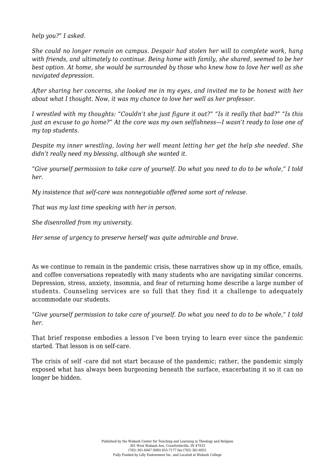*help you?" I asked.*

*She could no longer remain on campus. Despair had stolen her will to complete work, hang with friends, and ultimately to continue. Being home with family, she shared, seemed to be her best option. At home, she would be surrounded by those who knew how to love her well as she navigated depression.*

*After sharing her concerns, she looked me in my eyes, and invited me to be honest with her about what I thought. Now, it was my chance to love her well as her professor.*

*I wrestled with my thoughts: "Couldn't she just figure it out?" "Is it really that bad?" "Is this just an excuse to go home?" At the core was my own selfishness—I wasn't ready to lose one of my top students.*

*Despite my inner wrestling, loving her well meant letting her get the help she needed. She didn't really need my blessing, although she wanted it.*

*"Give yourself permission to take care of yourself. Do what you need to do to be whole," I told her.*

*My insistence that self-care was nonnegotiable offered some sort of release.*

*That was my last time speaking with her in person.*

*She disenrolled from my university.*

*Her sense of urgency to preserve herself was quite admirable and brave.*

As we continue to remain in the pandemic crisis, these narratives show up in my office, emails, and coffee conversations repeatedly with many students who are navigating similar concerns. Depression, stress, anxiety, insomnia, and fear of returning home describe a large number of students. Counseling services are so full that they find it a challenge to adequately accommodate our students.

*"Give yourself permission to take care of yourself. Do what you need to do to be whole," I told her.*

That brief response embodies a lesson I've been trying to learn ever since the pandemic started. That lesson is on self-care.

The crisis of self -care did not start because of the pandemic; rather, the pandemic simply exposed what has always been burgeoning beneath the surface, exacerbating it so it can no longer be hidden.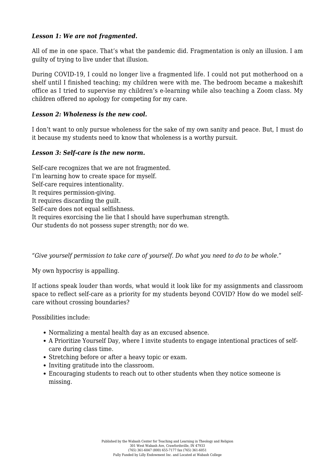## *Lesson 1: We are not fragmented.*

All of me in one space. That's what the pandemic did. Fragmentation is only an illusion. I am guilty of trying to live under that illusion.

During COVID-19, I could no longer live a fragmented life. I could not put motherhood on a shelf until I finished teaching; my children were with me. The bedroom became a makeshift office as I tried to supervise my children's e-learning while also teaching a Zoom class. My children offered no apology for competing for my care.

## *Lesson 2: Wholeness is the new cool.*

I don't want to only pursue wholeness for the sake of my own sanity and peace. But, I must do it because my students need to know that wholeness is a worthy pursuit.

#### *Lesson 3: Self-care is the new norm.*

Self-care recognizes that we are not fragmented. I'm learning how to create space for myself. Self-care requires intentionality. It requires permission-giving. It requires discarding the guilt. Self-care does not equal selfishness. It requires exorcising the lie that I should have superhuman strength. Our students do not possess super strength; nor do we.

*"Give yourself permission to take care of yourself. Do what you need to do to be whole.*"

My own hypocrisy is appalling.

If actions speak louder than words, what would it look like for my assignments and classroom space to reflect self-care as a priority for my students beyond COVID? How do we model selfcare without crossing boundaries?

Possibilities include:

- Normalizing a mental health day as an excused absence.
- A Prioritize Yourself Day, where I invite students to engage intentional practices of selfcare during class time.
- Stretching before or after a heavy topic or exam.
- Inviting gratitude into the classroom.
- Encouraging students to reach out to other students when they notice someone is missing.